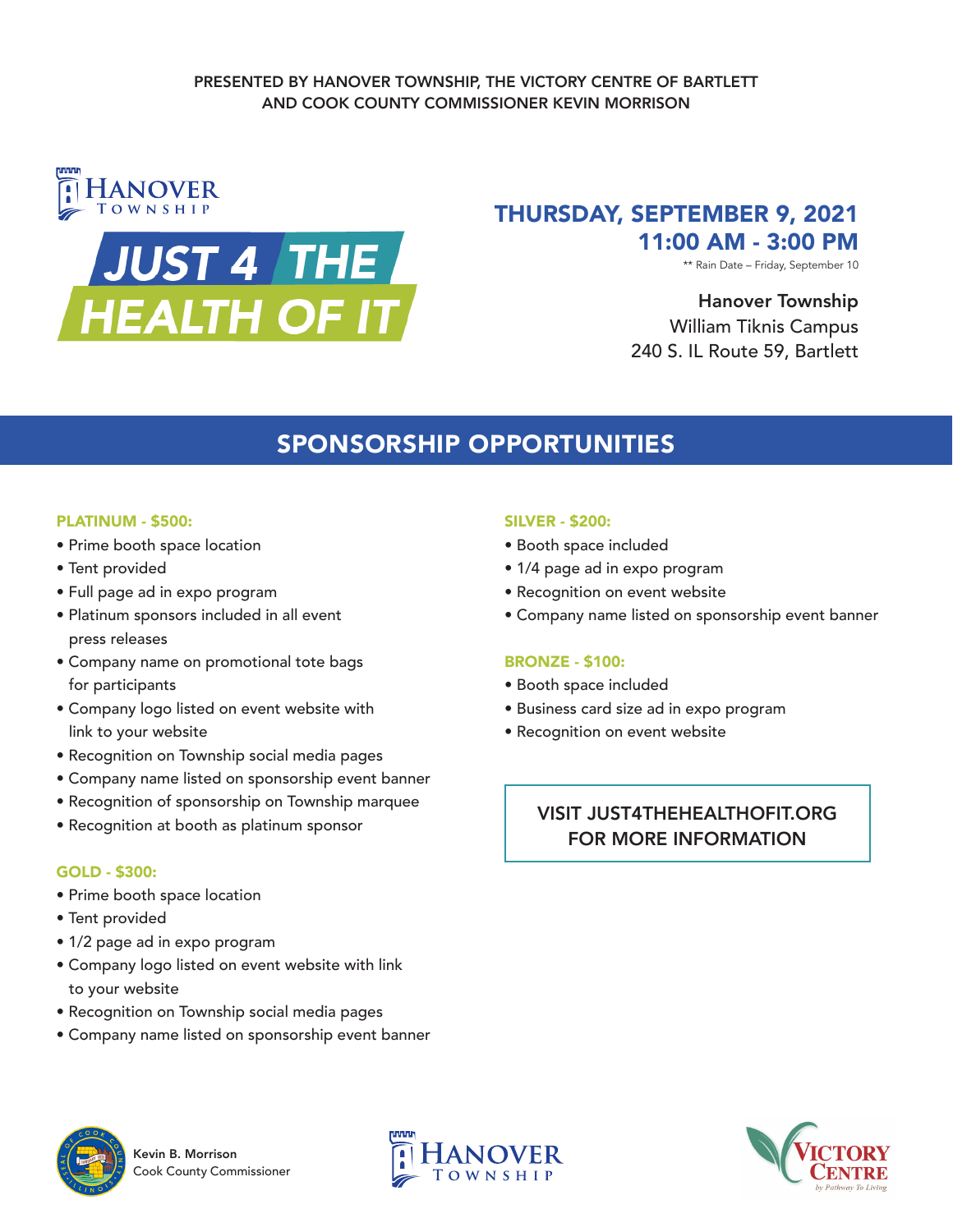

# THURSDAY, SEPTEMBER 9, 2021 11:00 AM - 3:00 PM

\*\* Rain Date – Friday, September 10

## Hanover Township William Tiknis Campus 240 S. IL Route 59, Bartlett

# SPONSORSHIP OPPORTUNITIES

#### PLATINUM - \$500:

- Prime booth space location
- Tent provided
- Full page ad in expo program
- Platinum sponsors included in all event press releases
- Company name on promotional tote bags for participants
- Company logo listed on event website with link to your website
- Recognition on Township social media pages
- Company name listed on sponsorship event banner
- Recognition of sponsorship on Township marquee
- Recognition at booth as platinum sponsor

#### GOLD - \$300:

- Prime booth space location
- Tent provided
- 1/2 page ad in expo program
- Company logo listed on event website with link to your website
- Recognition on Township social media pages
- Company name listed on sponsorship event banner

#### SILVER - \$200:

- Booth space included
- 1/4 page ad in expo program
- Recognition on event website
- Company name listed on sponsorship event banner

#### BRONZE - \$100:

- Booth space included
- Business card size ad in expo program
- Recognition on event website

### VISIT JUST4THEHEALTHOFIT.ORG FOR MORE INFORMATION